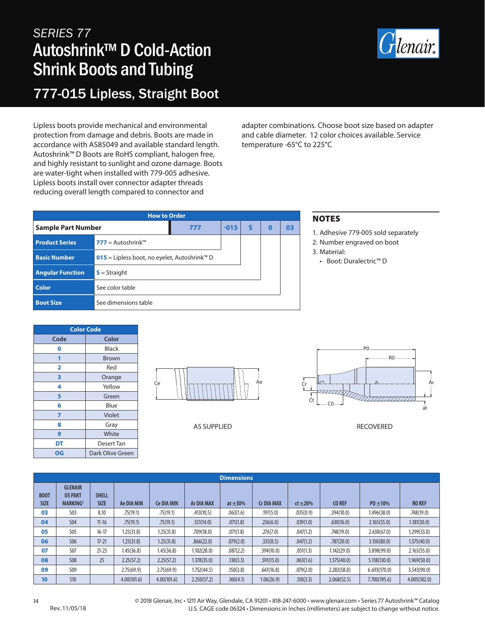## *SERIES 77* Autoshrink™ D Cold-Action Shrink Boots and Tubing 777-015 Lipless, Straight Boot



Lipless boots provide mechanical and environmental protection from damage and debris. Boots are made in accordance with AS85049 and available standard length. Autoshrink™ D Boots are RoHS compliant, halogen free, and highly resistant to sunlight and ozone damage. Boots are water-tight when installed with 779-005 adhesive. Lipless boots install over connector adapter threads reducing overall length compared to connector and

adapter combinations. Choose boot size based on adapter and cable diameter. 12 color choices available. Service temperature -65°C to 225°C

| <b>How to Order</b>       |                                                          |        |   |   |    |  |  |  |  |
|---------------------------|----------------------------------------------------------|--------|---|---|----|--|--|--|--|
| <b>Sample Part Number</b> | 777                                                      | $-015$ | s | O | 03 |  |  |  |  |
| <b>Product Series</b>     | <b>777</b> = Autoshrink™                                 |        |   |   |    |  |  |  |  |
| <b>Basic Number</b>       | 015 = Lipless boot, no eyelet, Autoshrink <sup>™</sup> D |        |   |   |    |  |  |  |  |
| <b>Angular Function</b>   | $S =$ Straight                                           |        |   |   |    |  |  |  |  |
| <b>Color</b>              | See color table                                          |        |   |   |    |  |  |  |  |
| <b>Boot Size</b>          | See dimensions table                                     |        |   |   |    |  |  |  |  |

## NOTES

- 1. Adhesive 779-005 sold separately
- 2. Number engraved on boot
- 3. Material:
	- Boot: Duralectric™ D

| <b>Color Code</b> |                  |  |  |  |  |  |  |
|-------------------|------------------|--|--|--|--|--|--|
| Code              | Color            |  |  |  |  |  |  |
| 0                 | Black            |  |  |  |  |  |  |
|                   | <b>Brown</b>     |  |  |  |  |  |  |
| 2                 | Red              |  |  |  |  |  |  |
| 3                 | Orange           |  |  |  |  |  |  |
| 4                 | Yellow           |  |  |  |  |  |  |
| 5                 | Green            |  |  |  |  |  |  |
| 6                 | Blue             |  |  |  |  |  |  |
| 7                 | Violet           |  |  |  |  |  |  |
| 8                 | Gray             |  |  |  |  |  |  |
| 9                 | White            |  |  |  |  |  |  |
| DT                | Desert Tan       |  |  |  |  |  |  |
| OG                | Dark Olive Green |  |  |  |  |  |  |



AS SUPPLIED



RECOVERED

| <b>Dimensions</b>          |                                                          |                             |             |                   |                   |               |                   |               |               |               |               |
|----------------------------|----------------------------------------------------------|-----------------------------|-------------|-------------------|-------------------|---------------|-------------------|---------------|---------------|---------------|---------------|
| <b>BOOT</b><br><b>SIZE</b> | <b>GLENAIR</b><br><b>US PART</b><br>MARKING <sup>2</sup> | <b>SHELL</b><br><b>SIZE</b> | Ae DIA MIN  | <b>Ce DIA MIN</b> | <b>Ar DIA MAX</b> | at $\pm 30\%$ | <b>Cr DIA MAX</b> | $ct \pm 20\%$ | <b>CO REF</b> | $P0 \pm 10\%$ | <b>RO REF</b> |
| 03                         | <b>S03</b>                                               | 8,10                        | .75(19.1)   | .75(19.1)         | .413(10.5)        | .063(1.6)     | .197(5.0)         | .035(0.9)     | .394(10.0)    | 1.496(38.0)   | .748(19.0)    |
| 04                         | <b>S04</b>                                               | $11 - 16$                   | .75(19.1)   | .75(19.1)         | .551(14.0)        | .071(1.8)     | .236(6.0)         | .039(1.0)     | .630(16.0)    | 2.165(55.0)   | 1.181(30.0)   |
| 05                         | <b>S05</b>                                               | $16 - 17$                   | 1.25(31.8)  | 1.25(31.8)        | .709(18.0)        | .071(1.8)     | .276(7.0)         | .047(1.2)     | .748(19.0)    | 2.638(67.0)   | 1.299(33.0)   |
| 06                         | <b>S06</b>                                               | $17 - 21$                   | 1.25(31.8)  | 1.25(31.8)        | .866(22.0)        | .079(2.0)     | .335(8.5)         | .047(1.2)     | .787(20.0)    | 3.150(80.0)   | 1.575(40.0)   |
| 07                         | <b>S07</b>                                               | $21 - 23$                   | 1.45(36.8)  | 1.45(36.8)        | 1.102(28.0)       | .087(2.2)     | .394(10.0)        | .051(1.3)     | 1.142(29.0)   | 3.898(99.0)   | 2.165(55.0)   |
| 08                         | <b>S08</b>                                               | 25                          | 2.25(57.2)  | 2.25(57.2)        | 1.378(35.0)       | .130(3.3)     | .591(15.0)        | .063(1.6)     | 1.575(40.0)   | 5.118(130.0)  | 1.969(50.0)   |
| 09                         | S09                                                      |                             | 2.75(69.9)  | 2.75(69.9)        | 1.752(44.5)       | .150(3.8)     | .661(16.8)        | .079(2.0)     | 2.283(58.0)   | 6.693(170.0)  | 3.543(90.0)   |
| 10                         | <b>S10</b>                                               |                             | 4.00(101.6) | 4.00(101.6)       | 2.250(57.2)       | .160(4.1)     | 1.06(26.9)        | .130(3.3)     | 2.068(52.5)   | 7.700(195.6)  | 4.005(102.0)  |

14 © 2018 Glenair, Inc • 1211 Air Way, Glendale, CA 91201 • 818-247-6000 • www.glenair.com • Series 77 Autoshrink™ Catalog U.S. CAGE code 06324 • Dimensions in Inches (millimeters) are subject to change without notice.

Rev. 11/05/18